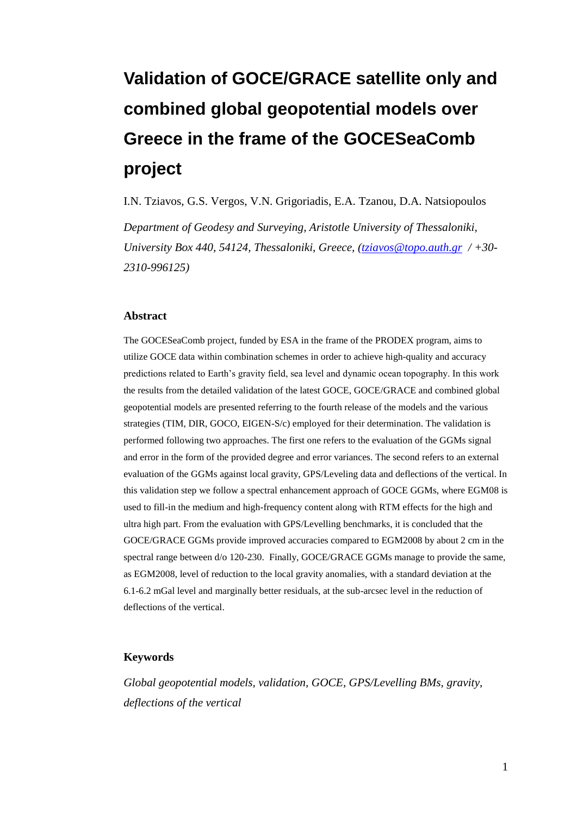# **Validation of GOCE/GRACE satellite only and combined global geopotential models over Greece in the frame of the GOCESeaComb project**

I.N. Tziavos, G.S. Vergos, V.N. Grigoriadis, E.A. Tzanou, D.A. Natsiopoulos *Department of Geodesy and Surveying, Aristotle University of Thessaloniki, University Box 440, 54124, Thessaloniki, Greece, [\(tziavos@topo.auth.gr](mailto:tziavos@topo.auth.gr) / +30- 2310-996125)*

#### **Abstract**

The GOCESeaComb project, funded by ESA in the frame of the PRODEX program, aims to utilize GOCE data within combination schemes in order to achieve high-quality and accuracy predictions related to Earth's gravity field, sea level and dynamic ocean topography. In this work the results from the detailed validation of the latest GOCE, GOCE/GRACE and combined global geopotential models are presented referring to the fourth release of the models and the various strategies (TIM, DIR, GOCO, EIGEN-S/c) employed for their determination. The validation is performed following two approaches. The first one refers to the evaluation of the GGMs signal and error in the form of the provided degree and error variances. The second refers to an external evaluation of the GGMs against local gravity, GPS/Leveling data and deflections of the vertical. In this validation step we follow a spectral enhancement approach of GOCE GGMs, where EGM08 is used to fill-in the medium and high-frequency content along with RTM effects for the high and ultra high part. From the evaluation with GPS/Levelling benchmarks, it is concluded that the GOCE/GRACE GGMs provide improved accuracies compared to EGM2008 by about 2 cm in the spectral range between d/o 120-230. Finally, GOCE/GRACE GGMs manage to provide the same, as EGM2008, level of reduction to the local gravity anomalies, with a standard deviation at the 6.1-6.2 mGal level and marginally better residuals, at the sub-arcsec level in the reduction of deflections of the vertical.

#### **Keywords**

*Global geopotential models, validation, GOCE, GPS/Levelling BMs, gravity, deflections of the vertical*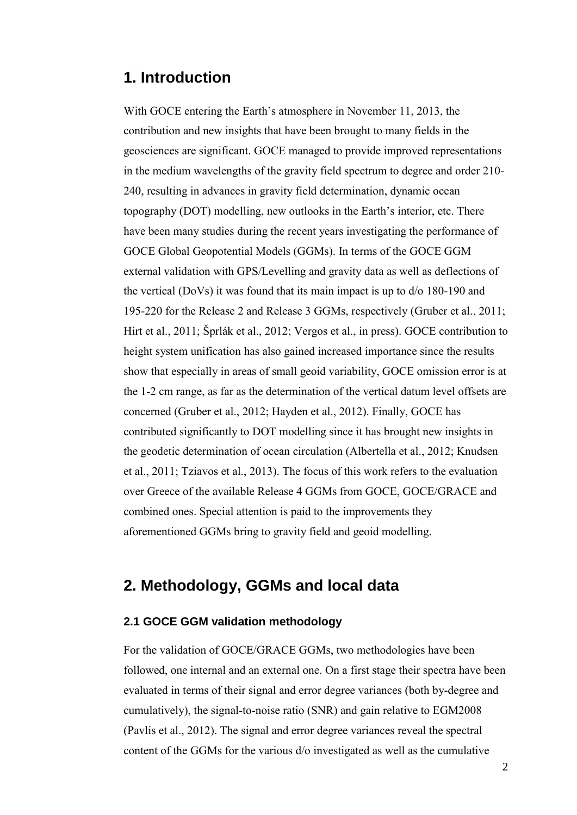# **1. Introduction**

With GOCE entering the Earth's atmosphere in November 11, 2013, the contribution and new insights that have been brought to many fields in the geosciences are significant. GOCE managed to provide improved representations in the medium wavelengths of the gravity field spectrum to degree and order 210- 240, resulting in advances in gravity field determination, dynamic ocean topography (DOT) modelling, new outlooks in the Earth's interior, etc. There have been many studies during the recent years investigating the performance of GOCE Global Geopotential Models (GGMs). In terms of the GOCE GGM external validation with GPS/Levelling and gravity data as well as deflections of the vertical (DoVs) it was found that its main impact is up to d/o 180-190 and 195-220 for the Release 2 and Release 3 GGMs, respectively (Gruber et al., 2011; Hirt et al., 2011; Šprlák et al., 2012; Vergos et al., in press). GOCE contribution to height system unification has also gained increased importance since the results show that especially in areas of small geoid variability, GOCE omission error is at the 1-2 cm range, as far as the determination of the vertical datum level offsets are concerned (Gruber et al., 2012; Hayden et al., 2012). Finally, GOCE has contributed significantly to DOT modelling since it has brought new insights in the geodetic determination of ocean circulation (Albertella et al., 2012; Knudsen et al., 2011; Tziavos et al., 2013). The focus of this work refers to the evaluation over Greece of the available Release 4 GGMs from GOCE, GOCE/GRACE and combined ones. Special attention is paid to the improvements they aforementioned GGMs bring to gravity field and geoid modelling.

# **2. Methodology, GGMs and local data**

# **2.1 GOCE GGM validation methodology**

For the validation of GOCE/GRACE GGMs, two methodologies have been followed, one internal and an external one. On a first stage their spectra have been evaluated in terms of their signal and error degree variances (both by-degree and cumulatively), the signal-to-noise ratio (SNR) and gain relative to EGM2008 (Pavlis et al., 2012). The signal and error degree variances reveal the spectral content of the GGMs for the various d/o investigated as well as the cumulative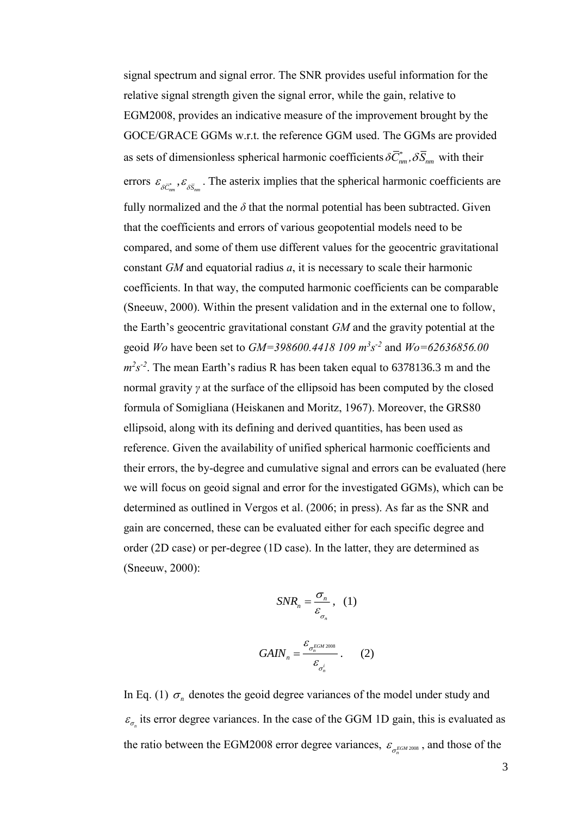signal spectrum and signal error. The SNR provides useful information for the relative signal strength given the signal error, while the gain, relative to EGM2008, provides an indicative measure of the improvement brought by the GOCE/GRACE GGMs w.r.t. the reference GGM used. The GGMs are provided as sets of dimensionless spherical harmonic coefficients  $\delta C_{nm}^*$ ,  $\delta S_{nm}$  with their errors  $\varepsilon_{\delta \bar{C}_{mn}}$ ,  $\varepsilon_{\delta \bar{S}_{mn}}$ . The asterix implies that the spherical harmonic coefficients are fully normalized and the  $\delta$  that the normal potential has been subtracted. Given that the coefficients and errors of various geopotential models need to be compared, and some of them use different values for the geocentric gravitational constant *GM* and equatorial radius *a*, it is necessary to scale their harmonic coefficients. In that way, the computed harmonic coefficients can be comparable (Sneeuw, 2000). Within the present validation and in the external one to follow, the Earth's geocentric gravitational constant *GM* and the gravity potential at the geoid *Wo* have been set to *GM=398600.4418 109 m<sup>3</sup> s -2* and *Wo=62636856.00*   $m^2s^2$ . The mean Earth's radius R has been taken equal to 6378136.3 m and the normal gravity *γ* at the surface of the ellipsoid has been computed by the closed formula of Somigliana (Heiskanen and Moritz, 1967). Moreover, the GRS80 ellipsoid, along with its defining and derived quantities, has been used as reference. Given the availability of unified spherical harmonic coefficients and their errors, the by-degree and cumulative signal and errors can be evaluated (here we will focus on geoid signal and error for the investigated GGMs), which can be determined as outlined in Vergos et al. (2006; in press). As far as the SNR and gain are concerned, these can be evaluated either for each specific degree and order (2D case) or per-degree (1D case). In the latter, they are determined as (Sneeuw, 2000):

$$
SNR_n = \frac{\sigma_n}{\varepsilon_{\sigma_n}}, \quad (1)
$$

$$
GAN_n = \frac{\varepsilon_{\sigma_n^{EGM 2008}}}{\varepsilon_{\sigma_n^i}}.
$$
 (2)

*n*

In Eq. (1)  $\sigma_n$  denotes the geoid degree variances of the model under study and  $\varepsilon_{\sigma_n}$  its error degree variances. In the case of the GGM 1D gain, this is evaluated as the ratio between the EGM2008 error degree variances,  $\varepsilon_{\sigma_n^{EGM2008}}$ , and those of the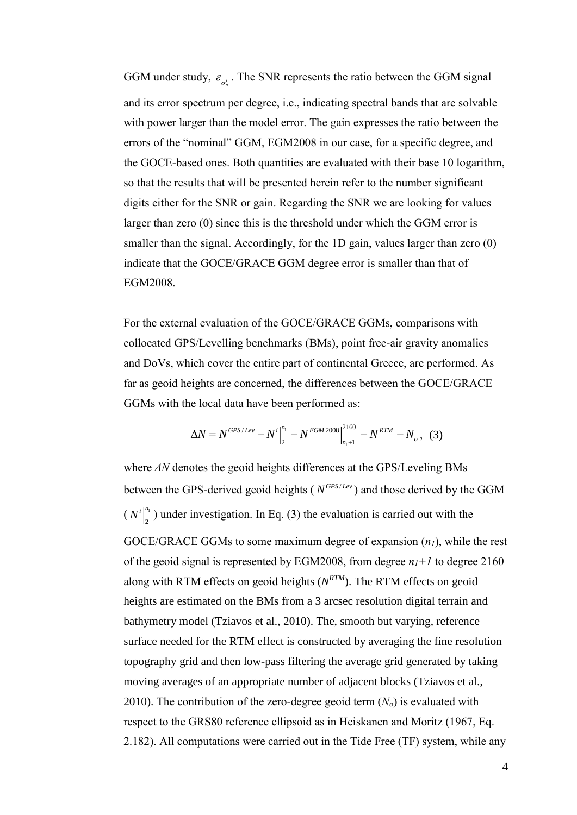GGM under study,  $\varepsilon_{\sigma_n^i}$ . The SNR represents the ratio between the GGM signal and its error spectrum per degree, i.e., indicating spectral bands that are solvable with power larger than the model error. The gain expresses the ratio between the errors of the "nominal" GGM, EGM2008 in our case, for a specific degree, and the GOCE-based ones. Both quantities are evaluated with their base 10 logarithm, so that the results that will be presented herein refer to the number significant digits either for the SNR or gain. Regarding the SNR we are looking for values larger than zero (0) since this is the threshold under which the GGM error is smaller than the signal. Accordingly, for the 1D gain, values larger than zero (0) indicate that the GOCE/GRACE GGM degree error is smaller than that of EGM2008.

For the external evaluation of the GOCE/GRACE GGMs, comparisons with collocated GPS/Levelling benchmarks (BMs), point free-air gravity anomalies and DoVs, which cover the entire part of continental Greece, are performed. As far as geoid heights are concerned, the differences between the GOCE/GRACE GGMs with the local data have been performed as:

$$
\Delta N = N^{GPS/Lev} - N^i \Big|_2^{n_1} - N^{EGM 2008} \Big|_{n_1+1}^{2160} - N^{RTM} - N_o \,, \tag{3}
$$

where *ΔN* denotes the geoid heights differences at the GPS/Leveling BMs between the GPS-derived geoid heights ( $N^{GPS/Lev}$ ) and those derived by the GGM  $(N^i)^{n_1}$ 2  $N^{i}$ <sup>n</sup>
<sup>n</sup>
<sub>1</sub>) under investigation. In Eq. (3) the evaluation is carried out with the GOCE/GRACE GGMs to some maximum degree of expansion (*n1*), while the rest of the geoid signal is represented by EGM2008, from degree *n1+1* to degree 2160 along with RTM effects on geoid heights (*N RTM*). The RTM effects on geoid heights are estimated on the BMs from a 3 arcsec resolution digital terrain and bathymetry model (Tziavos et al., 2010). The, smooth but varying, reference surface needed for the RTM effect is constructed by averaging the fine resolution topography grid and then low-pass filtering the average grid generated by taking moving averages of an appropriate number of adjacent blocks (Tziavos et al., 2010). The contribution of the zero-degree geoid term  $(N<sub>o</sub>)$  is evaluated with respect to the GRS80 reference ellipsoid as in Heiskanen and Moritz (1967, Eq. 2.182). All computations were carried out in the Tide Free (TF) system, while any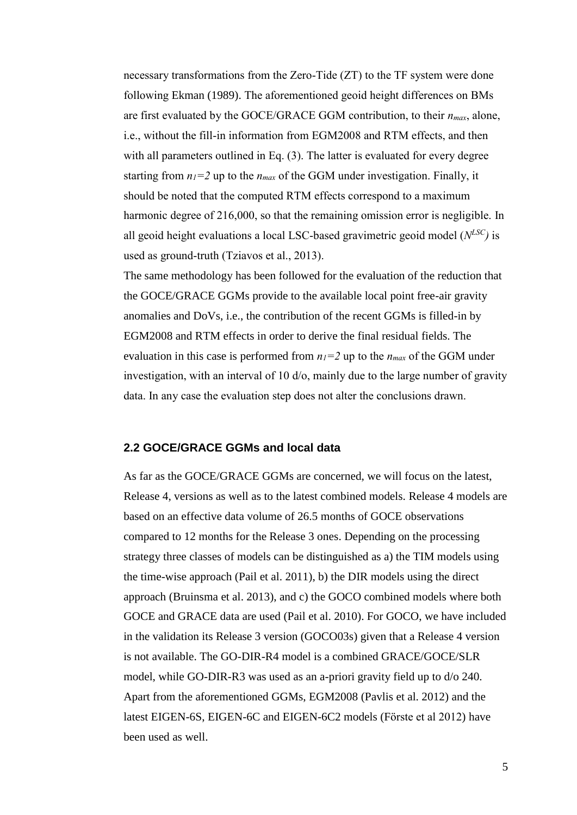necessary transformations from the Zero-Tide (ZT) to the TF system were done following Ekman (1989). The aforementioned geoid height differences on BMs are first evaluated by the GOCE/GRACE GGM contribution, to their *nmax*, alone, i.e., without the fill-in information from EGM2008 and RTM effects, and then with all parameters outlined in Eq. (3). The latter is evaluated for every degree starting from  $n_1 = 2$  up to the  $n_{max}$  of the GGM under investigation. Finally, it should be noted that the computed RTM effects correspond to a maximum harmonic degree of 216,000, so that the remaining omission error is negligible. In all geoid height evaluations a local LSC-based gravimetric geoid model (*N LSC)* is used as ground-truth (Tziavos et al., 2013).

The same methodology has been followed for the evaluation of the reduction that the GOCE/GRACE GGMs provide to the available local point free-air gravity anomalies and DoVs, i.e., the contribution of the recent GGMs is filled-in by EGM2008 and RTM effects in order to derive the final residual fields. The evaluation in this case is performed from  $n_1 = 2$  up to the  $n_{max}$  of the GGM under investigation, with an interval of 10 d/o, mainly due to the large number of gravity data. In any case the evaluation step does not alter the conclusions drawn.

## **2.2 GOCE/GRACE GGMs and local data**

As far as the GOCE/GRACE GGMs are concerned, we will focus on the latest, Release 4, versions as well as to the latest combined models. Release 4 models are based on an effective data volume of 26.5 months of GOCE observations compared to 12 months for the Release 3 ones. Depending on the processing strategy three classes of models can be distinguished as a) the TIM models using the time-wise approach (Pail et al. 2011), b) the DIR models using the direct approach (Bruinsma et al. 2013), and c) the GOCO combined models where both GOCE and GRACE data are used (Pail et al. 2010). For GOCO, we have included in the validation its Release 3 version (GOCO03s) given that a Release 4 version is not available. The GO-DIR-R4 model is a combined GRACE/GOCE/SLR model, while GO-DIR-R3 was used as an a-priori gravity field up to d/o 240. Apart from the aforementioned GGMs, EGM2008 (Pavlis et al. 2012) and the latest EIGEN-6S, EIGEN-6C and EIGEN-6C2 models (Förste et al 2012) have been used as well.

5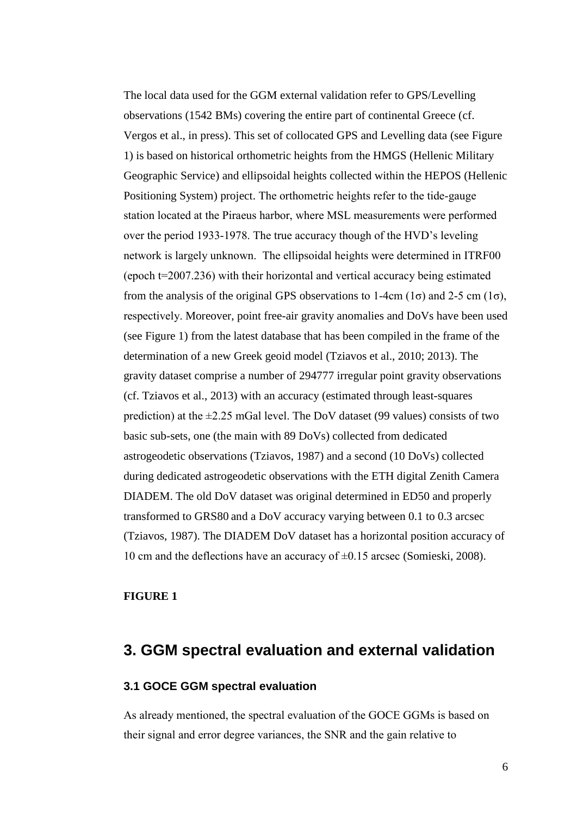The local data used for the GGM external validation refer to GPS/Levelling observations (1542 BMs) covering the entire part of continental Greece (cf. Vergos et al., in press). This set of collocated GPS and Levelling data (see Figure 1) is based on historical orthometric heights from the HMGS (Hellenic Military Geographic Service) and ellipsoidal heights collected within the HEPOS (Hellenic Positioning System) project. The orthometric heights refer to the tide-gauge station located at the Piraeus harbor, where MSL measurements were performed over the period 1933-1978. The true accuracy though of the HVD's leveling network is largely unknown. The ellipsoidal heights were determined in ITRF00 (epoch t=2007.236) with their horizontal and vertical accuracy being estimated from the analysis of the original GPS observations to 1-4cm (1 $\sigma$ ) and 2-5 cm (1 $\sigma$ ), respectively. Moreover, point free-air gravity anomalies and DoVs have been used (see Figure 1) from the latest database that has been compiled in the frame of the determination of a new Greek geoid model (Tziavos et al., 2010; 2013). The gravity dataset comprise a number of 294777 irregular point gravity observations (cf. Tziavos et al., 2013) with an accuracy (estimated through least-squares prediction) at the  $\pm 2.25$  mGal level. The DoV dataset (99 values) consists of two basic sub-sets, one (the main with 89 DoVs) collected from dedicated astrogeodetic observations (Tziavos, 1987) and a second (10 DoVs) collected during dedicated astrogeodetic observations with the ETH digital Zenith Camera DIADEM. The old DoV dataset was original determined in ED50 and properly transformed to GRS80 and a DoV accuracy varying between 0.1 to 0.3 arcsec (Tziavos, 1987). The DIADEM DoV dataset has a horizontal position accuracy of 10 cm and the deflections have an accuracy of ±0.15 arcsec (Somieski, 2008).

## **FIGURE 1**

# **3. GGM spectral evaluation and external validation**

## **3.1 GOCE GGM spectral evaluation**

As already mentioned, the spectral evaluation of the GOCE GGMs is based on their signal and error degree variances, the SNR and the gain relative to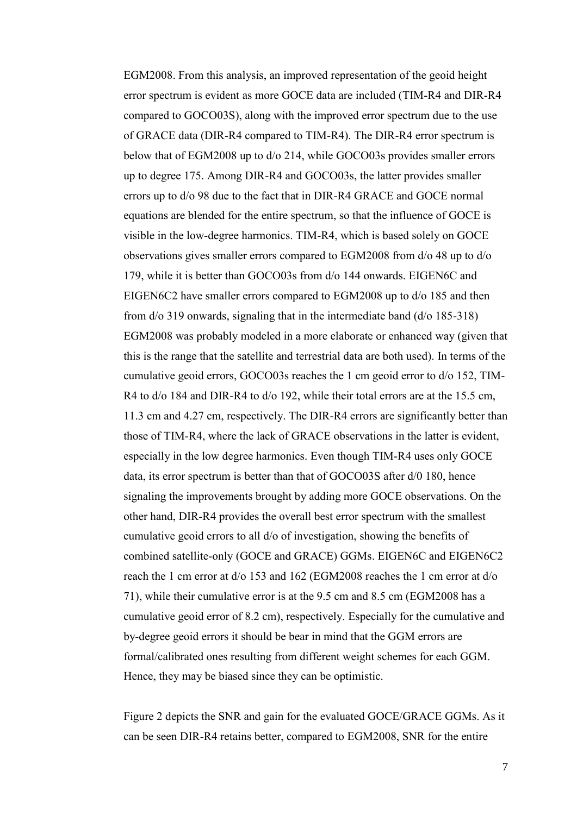EGM2008. From this analysis, an improved representation of the geoid height error spectrum is evident as more GOCE data are included (TIM-R4 and DIR-R4 compared to GOCO03S), along with the improved error spectrum due to the use of GRACE data (DIR-R4 compared to TIM-R4). The DIR-R4 error spectrum is below that of EGM2008 up to d/o 214, while GOCO03s provides smaller errors up to degree 175. Among DIR-R4 and GOCO03s, the latter provides smaller errors up to d/o 98 due to the fact that in DIR-R4 GRACE and GOCE normal equations are blended for the entire spectrum, so that the influence of GOCE is visible in the low-degree harmonics. TIM-R4, which is based solely on GOCE observations gives smaller errors compared to EGM2008 from d/o 48 up to d/o 179, while it is better than GOCO03s from d/o 144 onwards. EIGEN6C and EIGEN6C2 have smaller errors compared to EGM2008 up to d/o 185 and then from d/o 319 onwards, signaling that in the intermediate band (d/o 185-318) EGM2008 was probably modeled in a more elaborate or enhanced way (given that this is the range that the satellite and terrestrial data are both used). In terms of the cumulative geoid errors, GOCO03s reaches the 1 cm geoid error to d/o 152, TIM-R4 to  $d$ /o 184 and DIR-R4 to  $d$ /o 192, while their total errors are at the 15.5 cm, 11.3 cm and 4.27 cm, respectively. The DIR-R4 errors are significantly better than those of TIM-R4, where the lack of GRACE observations in the latter is evident, especially in the low degree harmonics. Even though TIM-R4 uses only GOCE data, its error spectrum is better than that of GOCO03S after d/0 180, hence signaling the improvements brought by adding more GOCE observations. On the other hand, DIR-R4 provides the overall best error spectrum with the smallest cumulative geoid errors to all d/o of investigation, showing the benefits of combined satellite-only (GOCE and GRACE) GGMs. EIGEN6C and EIGEN6C2 reach the 1 cm error at d/o 153 and 162 (EGM2008 reaches the 1 cm error at d/o 71), while their cumulative error is at the 9.5 cm and 8.5 cm (EGM2008 has a cumulative geoid error of 8.2 cm), respectively. Especially for the cumulative and by-degree geoid errors it should be bear in mind that the GGM errors are formal/calibrated ones resulting from different weight schemes for each GGM. Hence, they may be biased since they can be optimistic.

Figure 2 depicts the SNR and gain for the evaluated GOCE/GRACE GGMs. As it can be seen DIR-R4 retains better, compared to EGM2008, SNR for the entire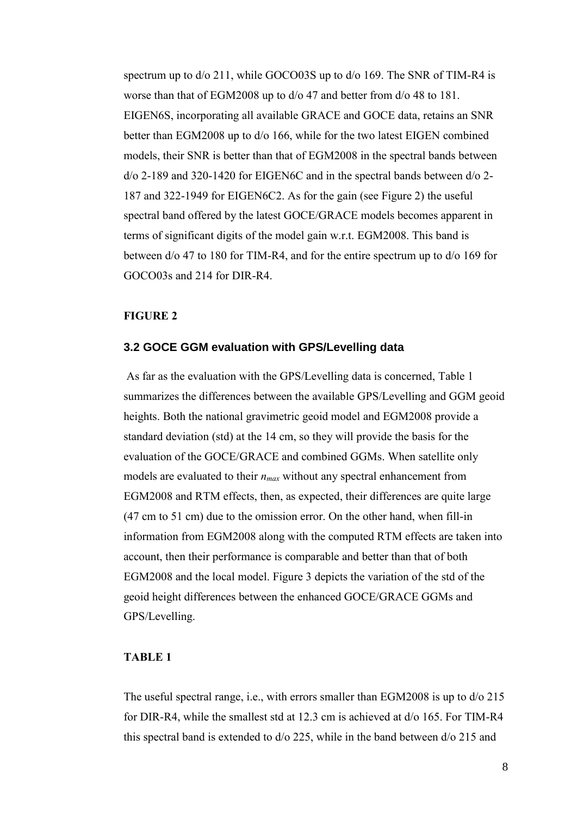spectrum up to  $d/0$  211, while GOCO03S up to  $d/0$  169. The SNR of TIM-R4 is worse than that of EGM2008 up to d/o 47 and better from d/o 48 to 181. EIGEN6S, incorporating all available GRACE and GOCE data, retains an SNR better than EGM2008 up to d/o 166, while for the two latest EIGEN combined models, their SNR is better than that of EGM2008 in the spectral bands between d/o 2-189 and 320-1420 for EIGEN6C and in the spectral bands between d/o 2- 187 and 322-1949 for EIGEN6C2. As for the gain (see Figure 2) the useful spectral band offered by the latest GOCE/GRACE models becomes apparent in terms of significant digits of the model gain w.r.t. EGM2008. This band is between d/o 47 to 180 for TIM-R4, and for the entire spectrum up to d/o 169 for GOCO03s and 214 for DIR-R4.

## **FIGURE 2**

## **3.2 GOCE GGM evaluation with GPS/Levelling data**

As far as the evaluation with the GPS/Levelling data is concerned, Table 1 summarizes the differences between the available GPS/Levelling and GGM geoid heights. Both the national gravimetric geoid model and EGM2008 provide a standard deviation (std) at the 14 cm, so they will provide the basis for the evaluation of the GOCE/GRACE and combined GGMs. When satellite only models are evaluated to their *nmax* without any spectral enhancement from EGM2008 and RTM effects, then, as expected, their differences are quite large (47 cm to 51 cm) due to the omission error. On the other hand, when fill-in information from EGM2008 along with the computed RTM effects are taken into account, then their performance is comparable and better than that of both EGM2008 and the local model. Figure 3 depicts the variation of the std of the geoid height differences between the enhanced GOCE/GRACE GGMs and GPS/Levelling.

## **TABLE 1**

The useful spectral range, i.e., with errors smaller than EGM2008 is up to d/o 215 for DIR-R4, while the smallest std at 12.3 cm is achieved at d/o 165. For TIM-R4 this spectral band is extended to d/o 225, while in the band between d/o 215 and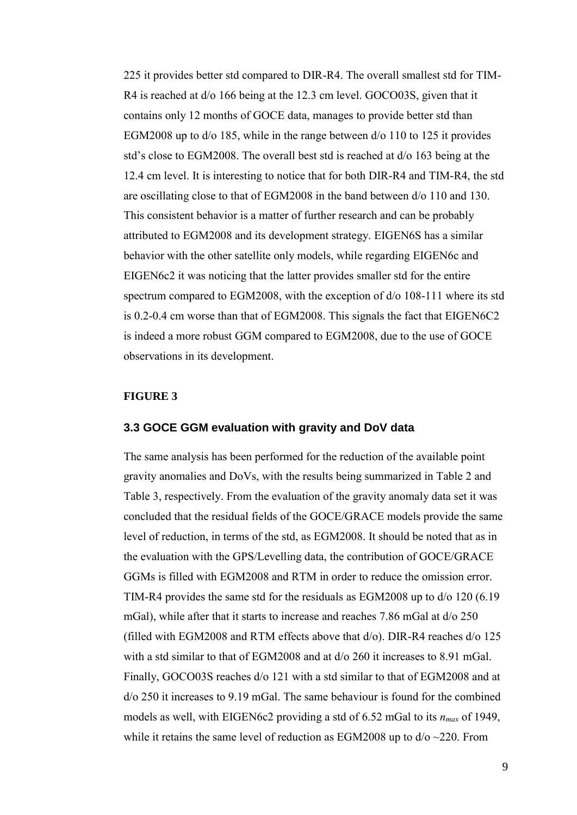225 it provides better std compared to DIR-R4. The overall smallest std for TIM-R4 is reached at d/o 166 being at the 12.3 cm level. GOCO03S, given that it contains only 12 months of GOCE data, manages to provide better std than EGM2008 up to d/o 185, while in the range between d/o 110 to 125 it provides std's close to EGM2008. The overall best std is reached at d/o 163 being at the 12.4 cm level. It is interesting to notice that for both DIR-R4 and TIM-R4, the std are oscillating close to that of EGM2008 in the band between d/o 110 and 130. This consistent behavior is a matter of further research and can be probably attributed to EGM2008 and its development strategy. EIGEN6S has a similar behavior with the other satellite only models, while regarding EIGEN6c and EIGEN6c2 it was noticing that the latter provides smaller std for the entire spectrum compared to EGM2008, with the exception of d/o 108-111 where its std is 0.2-0.4 cm worse than that of EGM2008. This signals the fact that EIGEN6C2 is indeed a more robust GGM compared to EGM2008, due to the use of GOCE observations in its development.

#### **FIGURE 3**

#### **3.3 GOCE GGM evaluation with gravity and DoV data**

The same analysis has been performed for the reduction of the available point gravity anomalies and DoVs, with the results being summarized in Table 2 and Table 3, respectively. From the evaluation of the gravity anomaly data set it was concluded that the residual fields of the GOCE/GRACE models provide the same level of reduction, in terms of the std, as EGM2008. It should be noted that as in the evaluation with the GPS/Levelling data, the contribution of GOCE/GRACE GGMs is filled with EGM2008 and RTM in order to reduce the omission error. TIM-R4 provides the same std for the residuals as EGM2008 up to d/o 120 (6.19 mGal), while after that it starts to increase and reaches 7.86 mGal at d/o 250 (filled with EGM2008 and RTM effects above that d/o). DIR-R4 reaches d/o 125 with a std similar to that of EGM2008 and at  $d/0$  260 it increases to 8.91 mGal. Finally, GOCO03S reaches d/o 121 with a std similar to that of EGM2008 and at d/o 250 it increases to 9.19 mGal. The same behaviour is found for the combined models as well, with EIGEN6c2 providing a std of 6.52 mGal to its *nmax* of 1949, while it retains the same level of reduction as EGM2008 up to  $d$ /o  $\sim$ 220. From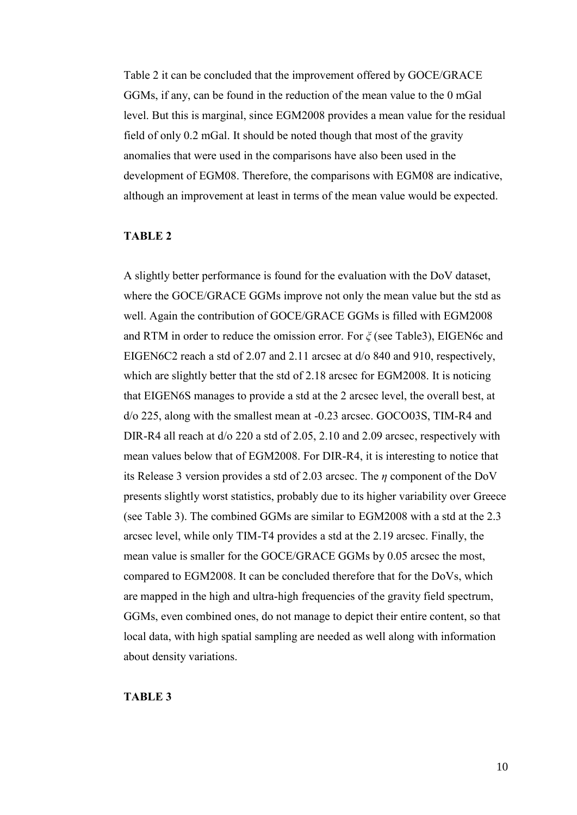Table 2 it can be concluded that the improvement offered by GOCE/GRACE GGMs, if any, can be found in the reduction of the mean value to the 0 mGal level. But this is marginal, since EGM2008 provides a mean value for the residual field of only 0.2 mGal. It should be noted though that most of the gravity anomalies that were used in the comparisons have also been used in the development of EGM08. Therefore, the comparisons with EGM08 are indicative, although an improvement at least in terms of the mean value would be expected.

#### **TABLE 2**

A slightly better performance is found for the evaluation with the DoV dataset, where the GOCE/GRACE GGMs improve not only the mean value but the std as well. Again the contribution of GOCE/GRACE GGMs is filled with EGM2008 and RTM in order to reduce the omission error. For *ξ* (see Table3), EIGEN6c and EIGEN6C2 reach a std of 2.07 and 2.11 arcsec at d/o 840 and 910, respectively, which are slightly better that the std of 2.18 arcsec for EGM2008. It is noticing that EIGEN6S manages to provide a std at the 2 arcsec level, the overall best, at d/o 225, along with the smallest mean at -0.23 arcsec. GOCO03S, TIM-R4 and DIR-R4 all reach at  $d/220$  a std of 2.05, 2.10 and 2.09 arcsec, respectively with mean values below that of EGM2008. For DIR-R4, it is interesting to notice that its Release 3 version provides a std of 2.03 arcsec. The *η* component of the DoV presents slightly worst statistics, probably due to its higher variability over Greece (see Table 3). The combined GGMs are similar to EGM2008 with a std at the 2.3 arcsec level, while only TIM-T4 provides a std at the 2.19 arcsec. Finally, the mean value is smaller for the GOCE/GRACE GGMs by 0.05 arcsec the most, compared to EGM2008. It can be concluded therefore that for the DoVs, which are mapped in the high and ultra-high frequencies of the gravity field spectrum, GGMs, even combined ones, do not manage to depict their entire content, so that local data, with high spatial sampling are needed as well along with information about density variations.

## **TABLE 3**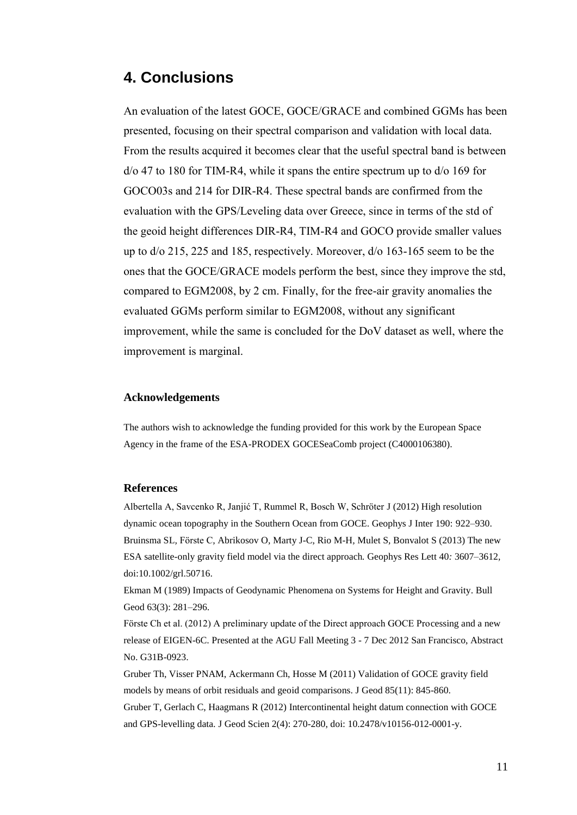# **4. Conclusions**

An evaluation of the latest GOCE, GOCE/GRACE and combined GGMs has been presented, focusing on their spectral comparison and validation with local data. From the results acquired it becomes clear that the useful spectral band is between d/o 47 to 180 for TIM-R4, while it spans the entire spectrum up to d/o 169 for GOCO03s and 214 for DIR-R4. These spectral bands are confirmed from the evaluation with the GPS/Leveling data over Greece, since in terms of the std of the geoid height differences DIR-R4, TIM-R4 and GOCO provide smaller values up to d/o 215, 225 and 185, respectively. Moreover, d/o 163-165 seem to be the ones that the GOCE/GRACE models perform the best, since they improve the std, compared to EGM2008, by 2 cm. Finally, for the free-air gravity anomalies the evaluated GGMs perform similar to EGM2008, without any significant improvement, while the same is concluded for the DoV dataset as well, where the improvement is marginal.

#### **Acknowledgements**

The authors wish to acknowledge the funding provided for this work by the European Space Agency in the frame of the ESA-PRODEX GOCESeaComb project (C4000106380).

#### **References**

Albertella A, Savcenko R, Janjić T, Rummel R, Bosch W, Schröter J (2012) High resolution dynamic ocean topography in the Southern Ocean from GOCE. Geophys J Inter 190: 922–930. Bruinsma SL*,* Förste C*,* Abrikosov O*,* Marty J-C*,* Rio M-H*,* Mulet S*,* Bonvalot S (2013) The new ESA satellite-only gravity field model via the direct approach*.* Geophys Res Lett 40*:* 3607*–*3612*,*  doi:10.1002/grl.50716.

Ekman M (1989) Impacts of Geodynamic Phenomena on Systems for Height and Gravity. Bull Geod 63(3): 281–296.

Förste Ch et al. (2012) A preliminary update of the Direct approach GOCE Processing and a new release of EIGEN-6C. Presented at the AGU Fall Meeting 3 - 7 Dec 2012 San Francisco, Abstract No. G31B-0923.

Gruber Th, Visser PNAM, Ackermann Ch, Hosse M (2011) Validation of GOCE gravity field models by means of orbit residuals and geoid comparisons. J Geod 85(11): 845-860. Gruber T, Gerlach C, Haagmans R (2012) Intercontinental height datum connection with GOCE and GPS-levelling data. J Geod Scien 2(4): 270-280, doi: 10.2478/v10156-012-0001-y.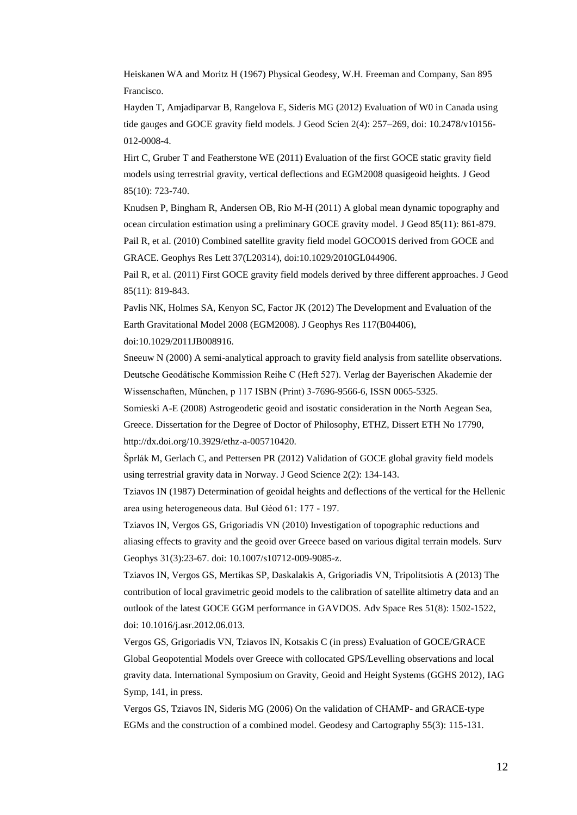Heiskanen WA and Moritz H (1967) Physical Geodesy, W.H. Freeman and Company, San 895 Francisco.

Hayden T, Amjadiparvar B, Rangelova E, Sideris MG (2012) Evaluation of W0 in Canada using tide gauges and GOCE gravity field models. J Geod Scien 2(4): 257–269, doi: 10.2478/v10156- 012-0008-4.

Hirt C, Gruber T and Featherstone WE (2011) Evaluation of the first GOCE static gravity field models using terrestrial gravity, vertical deflections and EGM2008 quasigeoid heights. J Geod 85(10): 723-740.

Knudsen P, Bingham R, Andersen OB, Rio M-H (2011) A global mean dynamic topography and ocean circulation estimation using a preliminary GOCE gravity model. J Geod 85(11): 861-879. Pail R, et al. (2010) Combined satellite gravity field model GOCO01S derived from GOCE and GRACE. Geophys Res Lett 37(L20314), doi:10.1029/2010GL044906.

Pail R, et al. (2011) First GOCE gravity field models derived by three different approaches. J Geod 85(11): 819-843.

Pavlis NK, Holmes SA, Kenyon SC, Factor JK (2012) The Development and Evaluation of the Earth Gravitational Model 2008 (EGM2008). J Geophys Res 117(B04406), doi:10.1029/2011JB008916.

Sneeuw N (2000) A semi-analytical approach to gravity field analysis from satellite observations. Deutsche Geodätische Kommission Reihe C (Heft 527). Verlag der Bayerischen Akademie der Wissenschaften, München, p 117 ISBN (Print) 3-7696-9566-6, ISSN 0065-5325.

Somieski A-E (2008) Astrogeodetic geoid and isostatic consideration in the North Aegean Sea, Greece. Dissertation for the Degree of Doctor of Philosophy, ETHZ, Dissert ETH No 17790, http://dx.doi.org/10.3929/ethz-a-005710420.

Šprlák M, Gerlach C, and Pettersen PR (2012) Validation of GOCE global gravity field models using terrestrial gravity data in Norway. J Geod Science 2(2): 134-143.

Tziavos IN (1987) Determination of geoidal heights and deflections of the vertical for the Hellenic area using heterogeneous data. Bul Géod 61: 177 - 197.

Tziavos IN, Vergos GS, Grigoriadis VN (2010) Investigation of topographic reductions and aliasing effects to gravity and the geoid over Greece based on various digital terrain models. Surv Geophys 31(3):23-67. doi: 10.1007/s10712-009-9085-z.

Tziavos IN, Vergos GS, Mertikas SP, Daskalakis A, Grigoriadis VN, Tripolitsiotis A (2013) The contribution of local gravimetric geoid models to the calibration of satellite altimetry data and an outlook of the latest GOCE GGM performance in GAVDOS. Adv Space Res 51(8): 1502-1522, doi: 10.1016/j.asr.2012.06.013.

Vergos GS, Grigoriadis VN, Tziavos IN, Kotsakis C (in press) Evaluation of GOCE/GRACE Global Geopotential Models over Greece with collocated GPS/Levelling observations and local gravity data. International Symposium on Gravity, Geoid and Height Systems (GGHS 2012), IAG Symp, 141, in press.

Vergos GS, Tziavos IN, Sideris MG (2006) On the validation of CHAMP- and GRACE-type EGMs and the construction of a combined model. Geodesy and Cartography 55(3): 115-131.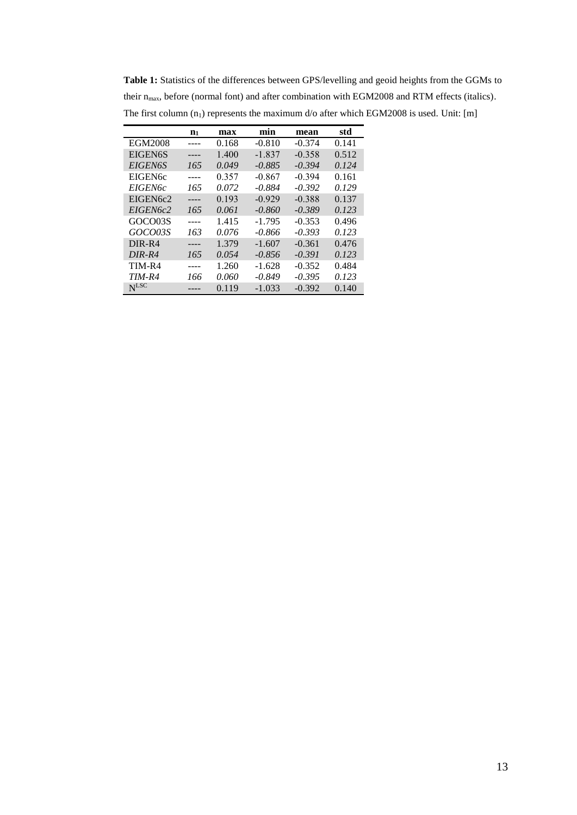**Table 1:** Statistics of the differences between GPS/levelling and geoid heights from the GGMs to their n<sub>max</sub>, before (normal font) and after combination with EGM2008 and RTM effects (italics). The first column  $(n_1)$  represents the maximum d/o after which EGM2008 is used. Unit: [m]

|                      | $n_1$ | max   | min      | mean     | std   |
|----------------------|-------|-------|----------|----------|-------|
| EGM2008              |       | 0.168 | $-0.810$ | $-0.374$ | 0.141 |
| EIGEN6S              |       | 1.400 | $-1.837$ | $-0.358$ | 0.512 |
| <b>EIGEN6S</b>       | 165   | 0.049 | $-0.885$ | $-0.394$ | 0.124 |
| EIGEN <sub>6</sub> c |       | 0.357 | $-0.867$ | $-0.394$ | 0.161 |
| <b>EIGEN6c</b>       | 165   | 0.072 | $-0.884$ | $-0.392$ | 0.129 |
| EIGEN6c2             |       | 0.193 | $-0.929$ | $-0.388$ | 0.137 |
| EIGEN6c2             | 165   | 0.061 | $-0.860$ | $-0.389$ | 0.123 |
| GOCO03S              |       | 1.415 | $-1.795$ | $-0.353$ | 0.496 |
| <i>GOCO03S</i>       | 163   | 0.076 | $-0.866$ | $-0.393$ | 0.123 |
| DIR-R4               |       | 1.379 | $-1.607$ | $-0.361$ | 0.476 |
| $DIR-R4$             | 165   | 0.054 | $-0.856$ | $-0.391$ | 0.123 |
| TIM-R4               |       | 1.260 | $-1.628$ | $-0.352$ | 0.484 |
| $TIM-R4$             | 166   | 0.060 | $-0.849$ | $-0.395$ | 0.123 |
| $N$ LSC              |       | 0.119 | $-1.033$ | $-0.392$ | 0.140 |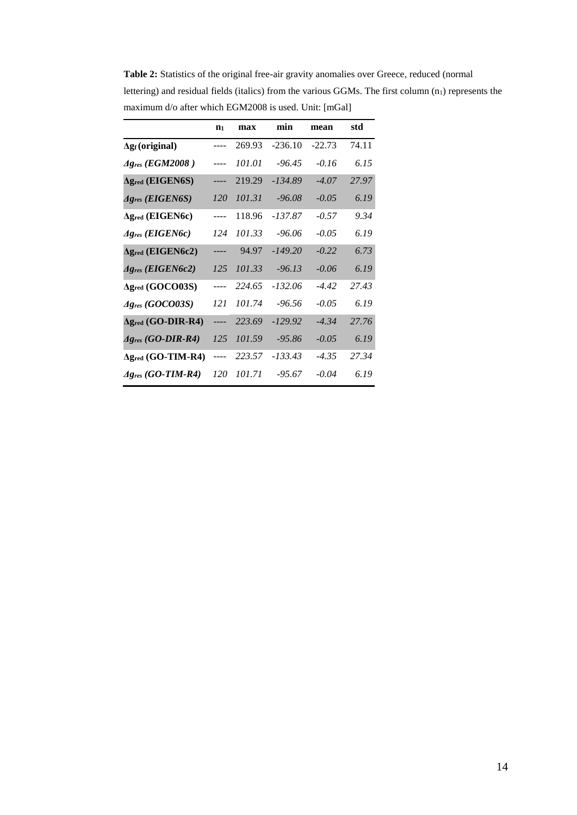|                                       | $n_1$ | max    | min       | mean     | std   |
|---------------------------------------|-------|--------|-----------|----------|-------|
| $\Delta$ g <sub>f</sub> (original)    |       | 269.93 | $-236.10$ | $-22.73$ | 74.11 |
| $Ag$ res (EGM2008)                    |       | 101.01 | $-96.45$  | $-0.16$  | 6.15  |
| $\Delta$ g <sub>red</sub> (EIGEN6S)   |       | 219.29 | $-134.89$ | $-4.07$  | 27.97 |
| $Ag$ res (EIGEN6S)                    | 120   | 101.31 | $-96.08$  | $-0.05$  | 6.19  |
| $\Delta$ g <sub>red</sub> (EIGEN6c)   |       | 118.96 | -137.87   | $-0.57$  | 9.34  |
| $Ag$ res (EIGEN6c)                    | 124   | 101.33 | $-96.06$  | $-0.05$  | 6.19  |
| $\Delta$ gred (EIGEN6c2)              |       | 94.97  | $-149.20$ | $-0.22$  | 6.73  |
| $Ag_{res}$ (EIGEN6c2)                 | 125   | 101.33 | $-96.13$  | $-0.06$  | 6.19  |
| $\Delta$ gred (GOCO03S)               |       | 224.65 | $-132.06$ | $-4.42$  | 27.43 |
| $Ag_{res}$ (GOCO03S)                  | 121   | 101.74 | $-96.56$  | $-0.05$  | 6.19  |
| $\Delta$ g <sub>red</sub> (GO-DIR-R4) | ----  | 223.69 | $-129.92$ | $-4.34$  | 27.76 |
| $Ag$ <sub>res</sub> (GO-DIR-R4)       | 125   | 101.59 | -95.86    | $-0.05$  | 6.19  |
| $\Delta$ gred (GO-TIM-R4)             | ----  | 223.57 | -133.43   | $-4.35$  | 27.34 |
| $Ag_{res}$ (GO-TIM-R4)                | 120   | 101.71 | $-95.67$  | $-0.04$  | 6.19  |

**Table 2:** Statistics of the original free-air gravity anomalies over Greece, reduced (normal lettering) and residual fields (italics) from the various GGMs. The first column  $(n_1)$  represents the maximum d/o after which EGM2008 is used. Unit: [mGal]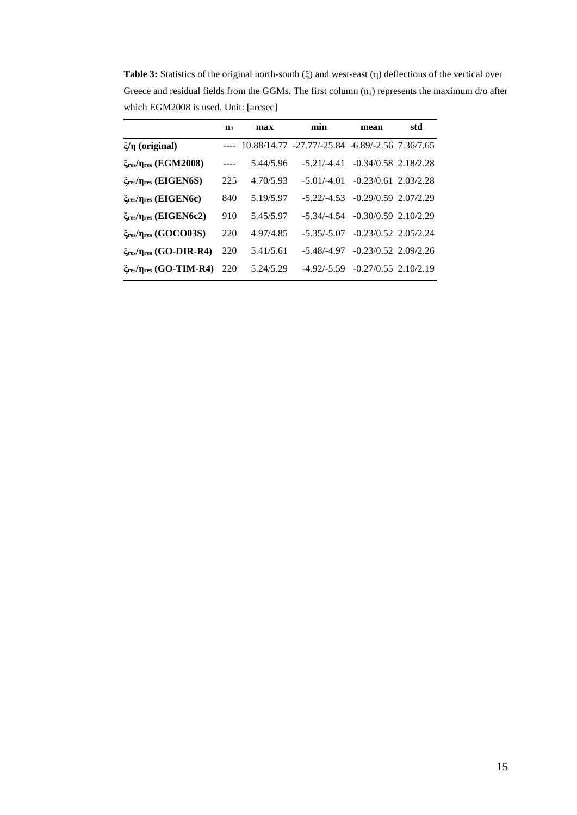**Table 3:** Statistics of the original north-south (ξ) and west-east (η) deflections of the vertical over Greece and residual fields from the GGMs. The first column  $(n_1)$  represents the maximum d/o after which EGM2008 is used. Unit: [arcsec]

|                                                 | n <sub>1</sub> | max       | min                                             | mean                   | std |
|-------------------------------------------------|----------------|-----------|-------------------------------------------------|------------------------|-----|
| $ξ/η$ (original)                                |                |           | 10.88/14.77 -27.77/-25.84 -6.89/-2.56 7.36/7.65 |                        |     |
| ξres/ηres (EGM2008)                             |                | 5.44/5.96 | $-5.21/-4.41$                                   | $-0.34/0.58$ 2.18/2.28 |     |
| $\xi_{res}/\eta_{res}$ (EIGEN6S)                | 225            | 4.70/5.93 | $-5.01/-4.01$                                   | $-0.23/0.61$ 2.03/2.28 |     |
| ξ <sub>res</sub> /η <sub>res</sub> (EIGEN6c)    | 840            | 5.19/5.97 | $-5.22/-4.53$                                   | $-0.29/0.59$ 2.07/2.29 |     |
| $\xi_{\text{res}}/\eta_{\text{res}}$ (EIGEN6c2) | 910            | 5.45/5.97 | $-5.34/-4.54$                                   | $-0.30/0.59$ 2.10/2.29 |     |
| ξres/ηres (GOCO03S)                             | 220            | 4.97/4.85 | $-5.35/-5.07$                                   | $-0.23/0.52$ 2.05/2.24 |     |
| ξres/ηres (GO-DIR-R4)                           | 220            | 5.41/5.61 | $-5.48/-4.97$                                   | $-0.23/0.52$ 2.09/2.26 |     |
| $\xi_{res}/\eta_{res}$ (GO-TIM-R4)              | 220            | 5.24/5.29 | $-4.92/-5.59$                                   | $-0.27/0.55$ 2.10/2.19 |     |